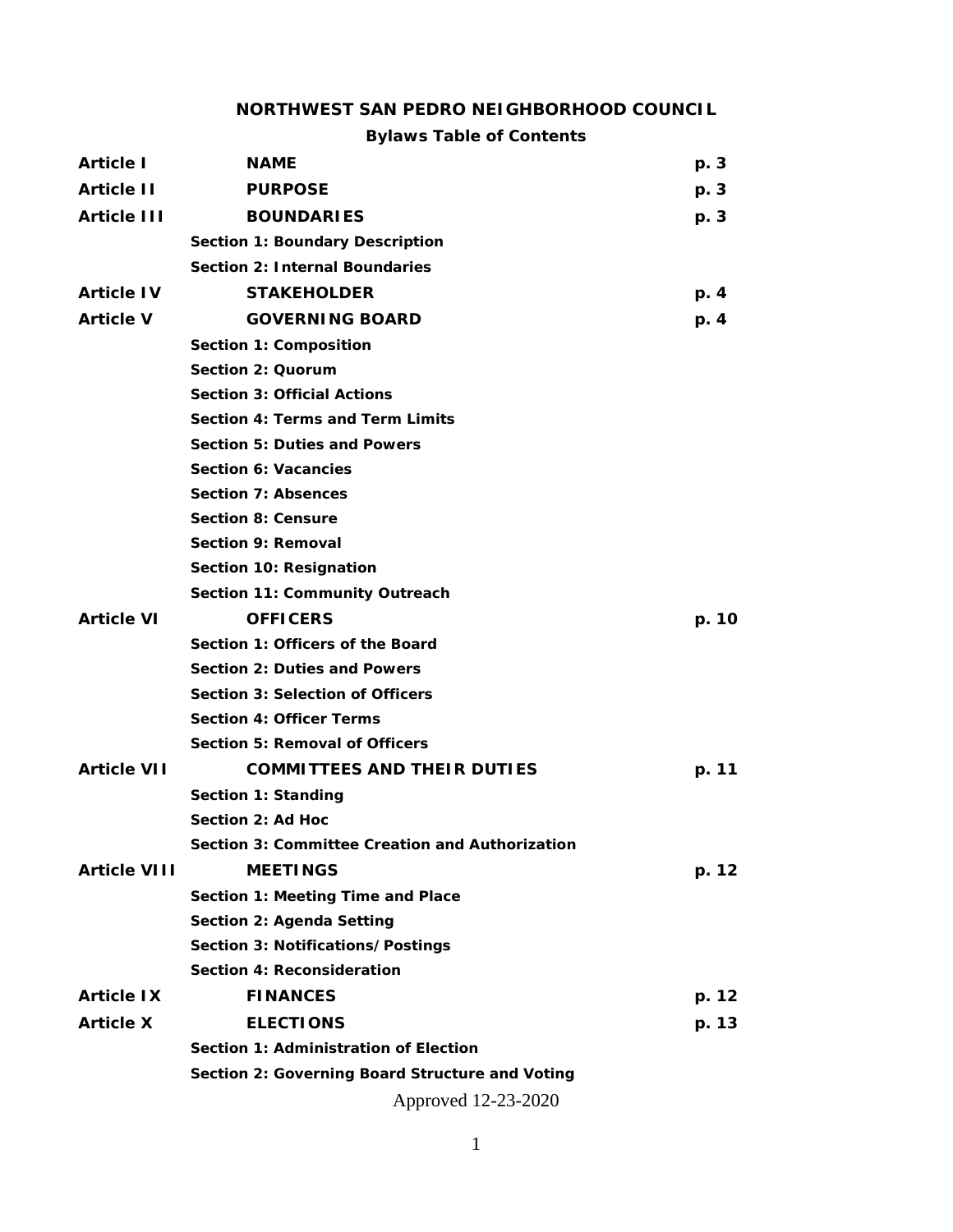#### **NORTHWEST SAN PEDRO NEIGHBORHOOD COUNCIL**

## **Bylaws Table of Contents**

| <b>Article I</b>    | <b>NAME</b>                                     | p. 3  |  |  |
|---------------------|-------------------------------------------------|-------|--|--|
| <b>Article II</b>   | <b>PURPOSE</b>                                  | p. 3  |  |  |
| <b>Article III</b>  | <b>BOUNDARIES</b>                               | p. 3  |  |  |
|                     | <b>Section 1: Boundary Description</b>          |       |  |  |
|                     | <b>Section 2: Internal Boundaries</b>           |       |  |  |
| <b>Article IV</b>   | <b>STAKEHOLDER</b>                              | p. 4  |  |  |
| <b>Article V</b>    | <b>GOVERNING BOARD</b>                          | p. 4  |  |  |
|                     | Section 1: Composition                          |       |  |  |
|                     | Section 2: Quorum                               |       |  |  |
|                     | <b>Section 3: Official Actions</b>              |       |  |  |
|                     | Section 4: Terms and Term Limits                |       |  |  |
|                     | <b>Section 5: Duties and Powers</b>             |       |  |  |
|                     | Section 6: Vacancies                            |       |  |  |
|                     | <b>Section 7: Absences</b>                      |       |  |  |
|                     | <b>Section 8: Censure</b>                       |       |  |  |
|                     | Section 9: Removal                              |       |  |  |
|                     | Section 10: Resignation                         |       |  |  |
|                     | Section 11: Community Outreach                  |       |  |  |
| <b>Article VI</b>   | <b>OFFICERS</b>                                 | p. 10 |  |  |
|                     | Section 1: Officers of the Board                |       |  |  |
|                     | Section 2: Duties and Powers                    |       |  |  |
|                     | <b>Section 3: Selection of Officers</b>         |       |  |  |
|                     | <b>Section 4: Officer Terms</b>                 |       |  |  |
|                     | <b>Section 5: Removal of Officers</b>           |       |  |  |
| <b>Article VII</b>  | <b>COMMITTEES AND THEIR DUTIES</b>              | p. 11 |  |  |
|                     | Section 1: Standing                             |       |  |  |
|                     | Section 2: Ad Hoc                               |       |  |  |
|                     | Section 3: Committee Creation and Authorization |       |  |  |
| <b>Article VIII</b> | <b>MEETINGS</b>                                 | p. 12 |  |  |
|                     | Section 1: Meeting Time and Place               |       |  |  |
|                     | Section 2: Agenda Setting                       |       |  |  |
|                     | Section 3: Notifications/Postings               |       |  |  |
|                     | Section 4: Reconsideration                      |       |  |  |
| <b>Article IX</b>   | <b>FINANCES</b>                                 | p. 12 |  |  |
| <b>Article X</b>    | <b>ELECTIONS</b>                                | p. 13 |  |  |
|                     | Section 1: Administration of Election           |       |  |  |
|                     | Section 2: Governing Board Structure and Voting |       |  |  |
|                     | Approved 12-23-2020                             |       |  |  |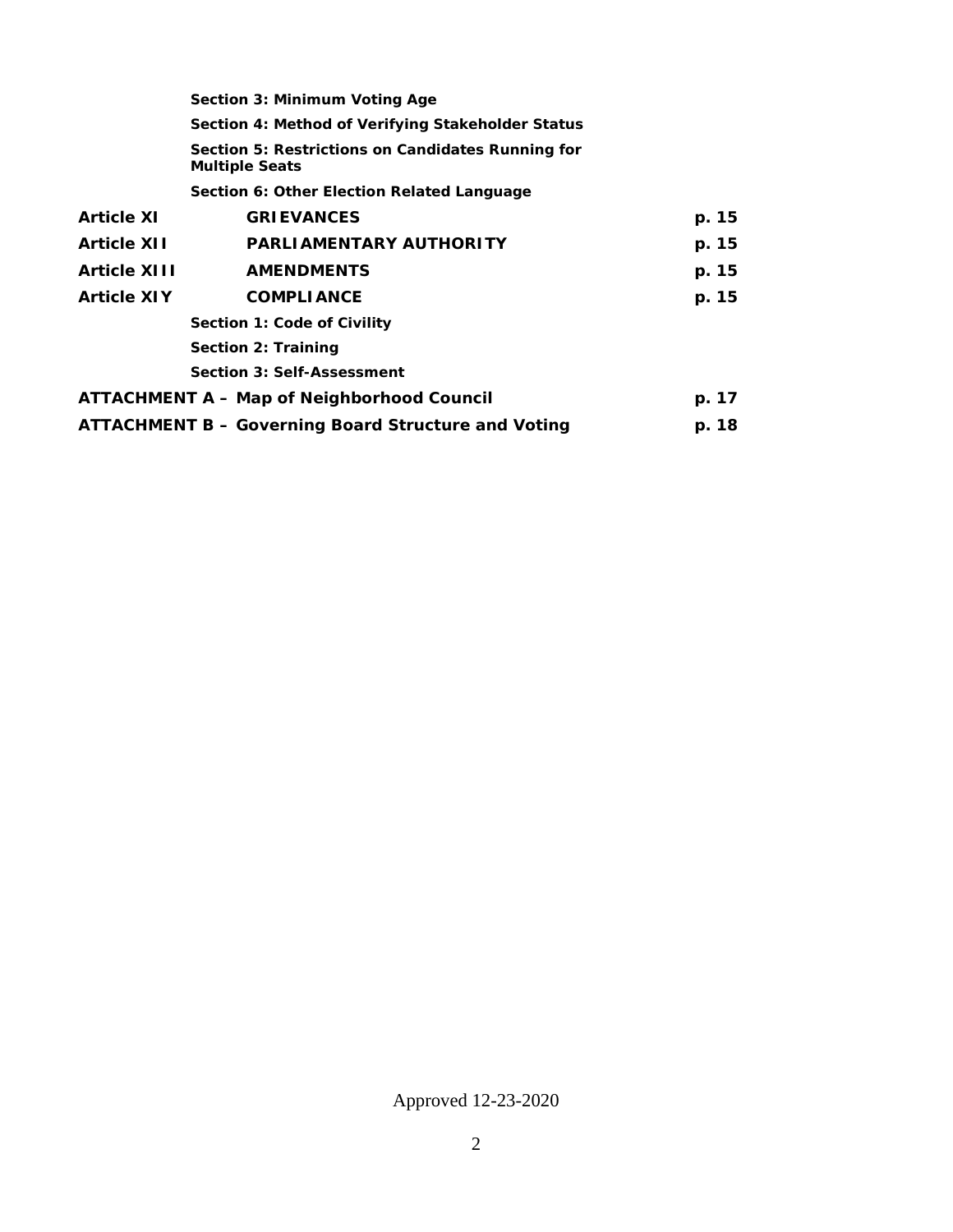|                                                   | Section 3: Minimum Voting Age                                              |       |  |  |  |
|---------------------------------------------------|----------------------------------------------------------------------------|-------|--|--|--|
|                                                   | Section 4: Method of Verifying Stakeholder Status                          |       |  |  |  |
|                                                   | Section 5: Restrictions on Candidates Running for<br><b>Multiple Seats</b> |       |  |  |  |
|                                                   | Section 6: Other Election Related Language                                 |       |  |  |  |
| <b>Article XI</b>                                 | <b>GRIEVANCES</b>                                                          | p. 15 |  |  |  |
| <b>Article XII</b>                                | <b>PARLIAMENTARY AUTHORITY</b>                                             | p. 15 |  |  |  |
| <b>Article XIII</b>                               | <b>AMENDMENTS</b>                                                          | p. 15 |  |  |  |
| <b>Article XIY</b>                                | <b>COMPLIANCE</b>                                                          | p. 15 |  |  |  |
| Section 1: Code of Civility                       |                                                                            |       |  |  |  |
| Section 2: Training                               |                                                                            |       |  |  |  |
|                                                   | <b>Section 3: Self-Assessment</b>                                          |       |  |  |  |
| <b>ATTACHMENT A – Map of Neighborhood Council</b> |                                                                            | p. 17 |  |  |  |
|                                                   | <b>ATTACHMENT B - Governing Board Structure and Voting</b>                 | p. 18 |  |  |  |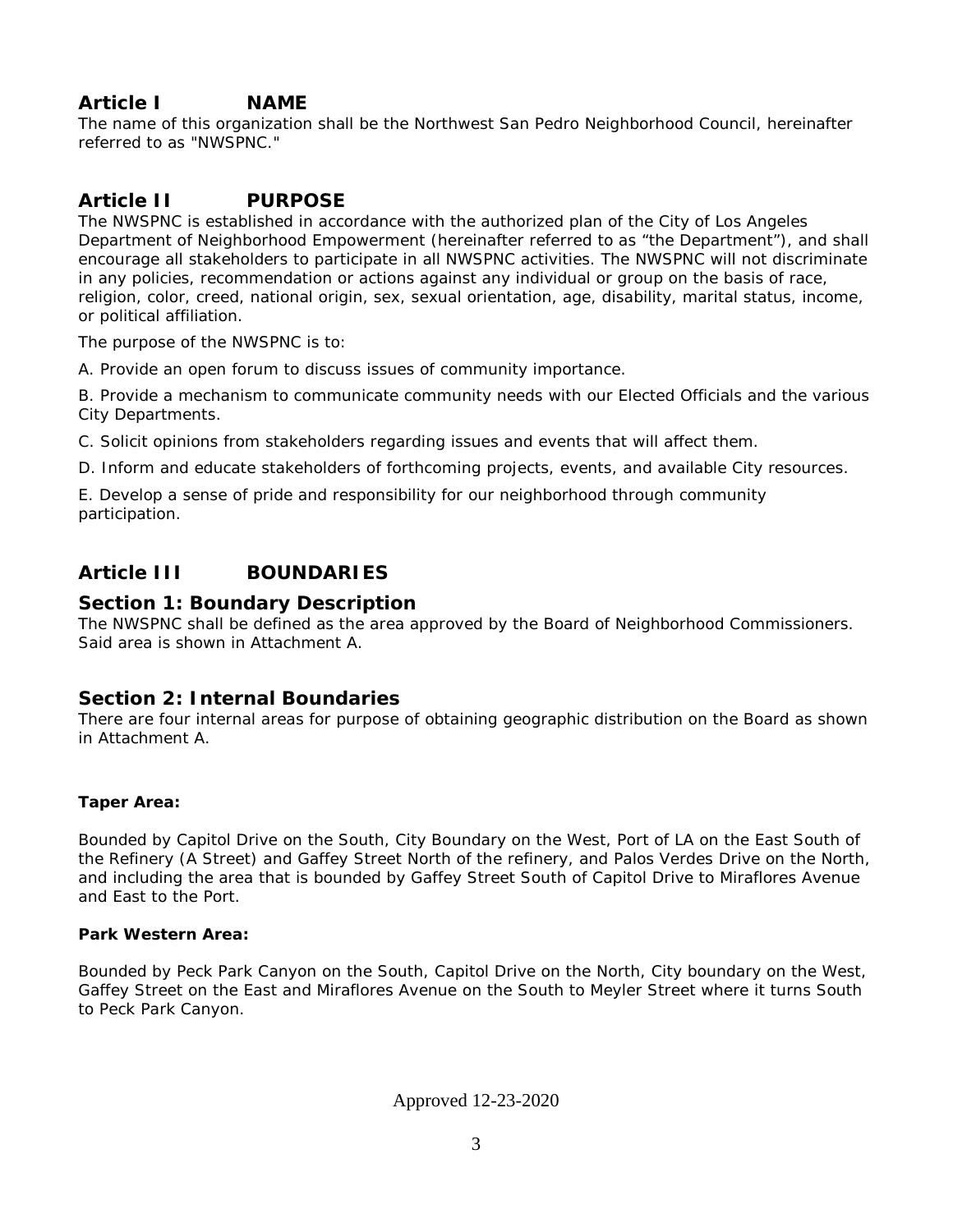# **Article I NAME**

The name of this organization shall be the Northwest San Pedro Neighborhood Council, hereinafter referred to as "NWSPNC."

# **Article II PURPOSE**

The NWSPNC is established in accordance with the authorized plan of the City of Los Angeles Department of Neighborhood Empowerment (hereinafter referred to as "the Department"), and shall encourage all stakeholders to participate in all NWSPNC activities. The NWSPNC will not discriminate in any policies, recommendation or actions against any individual or group on the basis of race, religion, color, creed, national origin, sex, sexual orientation, age, disability, marital status, income, or political affiliation.

The purpose of the NWSPNC is to:

A. Provide an open forum to discuss issues of community importance.

B. Provide a mechanism to communicate community needs with our Elected Officials and the various City Departments.

C. Solicit opinions from stakeholders regarding issues and events that will affect them.

D. Inform and educate stakeholders of forthcoming projects, events, and available City resources.

E. Develop a sense of pride and responsibility for our neighborhood through community participation.

# **Article III BOUNDARIES**

### **Section 1: Boundary Description**

The NWSPNC shall be defined as the area approved by the Board of Neighborhood Commissioners. Said area is shown in Attachment A.

### **Section 2: Internal Boundaries**

There are four internal areas for purpose of obtaining geographic distribution on the Board as shown in Attachment A.

#### **Taper Area:**

Bounded by Capitol Drive on the South, City Boundary on the West, Port of LA on the East South of the Refinery (A Street) and Gaffey Street North of the refinery, and Palos Verdes Drive on the North, and including the area that is bounded by Gaffey Street South of Capitol Drive to Miraflores Avenue and East to the Port.

#### **Park Western Area:**

Bounded by Peck Park Canyon on the South, Capitol Drive on the North, City boundary on the West, Gaffey Street on the East and Miraflores Avenue on the South to Meyler Street where it turns South to Peck Park Canyon.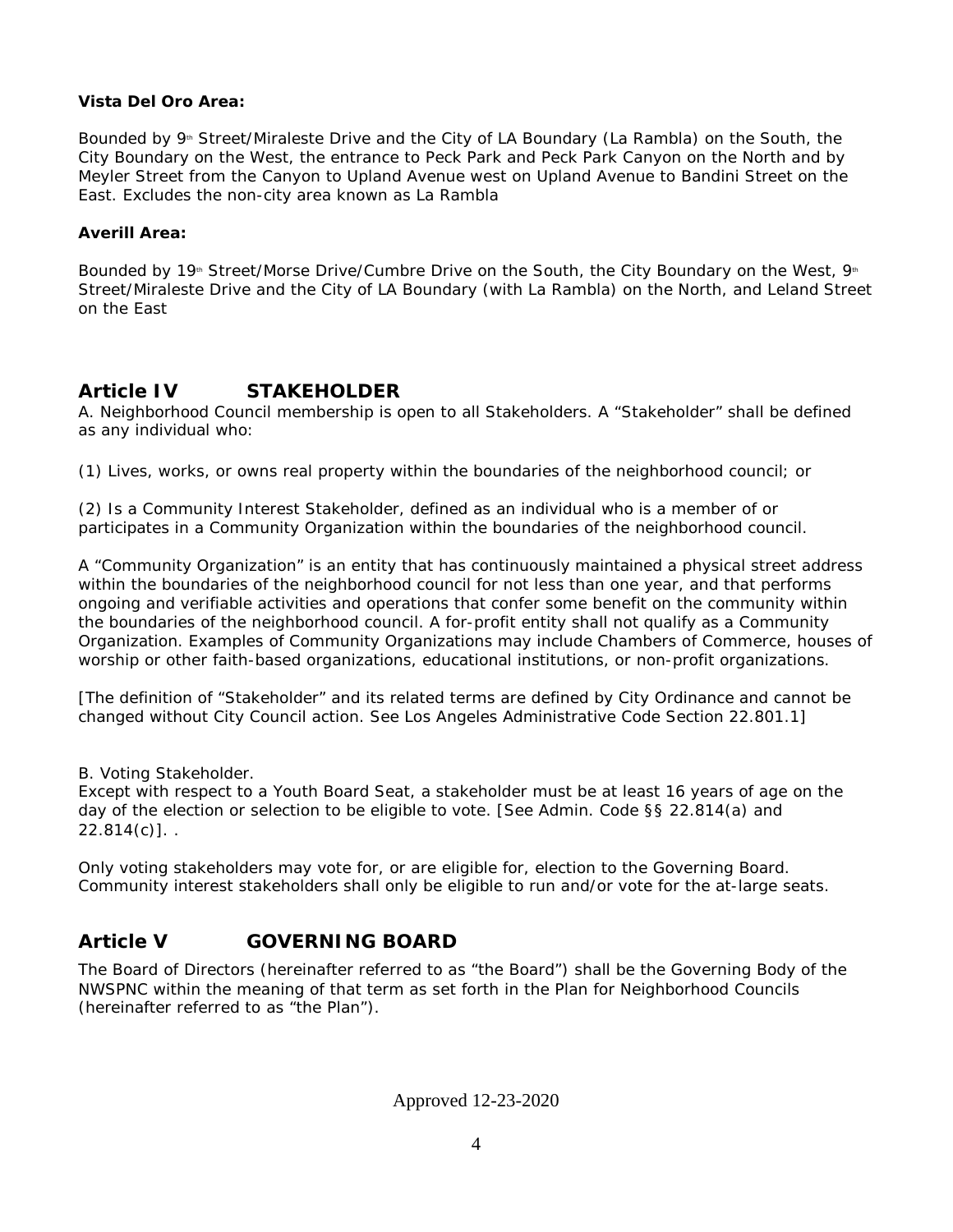#### **Vista Del Oro Area:**

Bounded by  $9<sup>th</sup>$  Street/Miraleste Drive and the City of LA Boundary (La Rambla) on the South, the City Boundary on the West, the entrance to Peck Park and Peck Park Canyon on the North and by Meyler Street from the Canyon to Upland Avenue west on Upland Avenue to Bandini Street on the East. Excludes the non-city area known as La Rambla

#### **Averill Area:**

Bounded by 19<sup>th</sup> Street/Morse Drive/Cumbre Drive on the South, the City Boundary on the West, 9<sup>th</sup> Street/Miraleste Drive and the City of LA Boundary (with La Rambla) on the North, and Leland Street on the East

## **Article IV STAKEHOLDER**

A. Neighborhood Council membership is open to all Stakeholders. A "Stakeholder" shall be defined as any individual who:

(1) Lives, works, or owns real property within the boundaries of the neighborhood council; or

(2) Is a Community Interest Stakeholder, defined as an individual who is a member of or participates in a Community Organization within the boundaries of the neighborhood council.

A "Community Organization" is an entity that has continuously maintained a physical street address within the boundaries of the neighborhood council for not less than one year, and that performs ongoing and verifiable activities and operations that confer some benefit on the community within the boundaries of the neighborhood council. A for-profit entity shall not qualify as a Community Organization. Examples of Community Organizations may include Chambers of Commerce, houses of worship or other faith-based organizations, educational institutions, or non-profit organizations.

[The definition of "Stakeholder" and its related terms are defined by City Ordinance and cannot be changed without City Council action. See Los Angeles Administrative Code Section 22.801.1]

B. Voting Stakeholder.

Except with respect to a Youth Board Seat, a stakeholder must be at least 16 years of age on the day of the election or selection to be eligible to vote. [See Admin. Code §§ 22.814(a) and  $22.814(c)$ ]...

Only voting stakeholders may vote for, or are eligible for, election to the Governing Board. Community interest stakeholders shall only be eligible to run and/or vote for the at-large seats.

# **Article V GOVERNING BOARD**

The Board of Directors (hereinafter referred to as "the Board") shall be the Governing Body of the NWSPNC within the meaning of that term as set forth in the Plan for Neighborhood Councils (hereinafter referred to as "the Plan").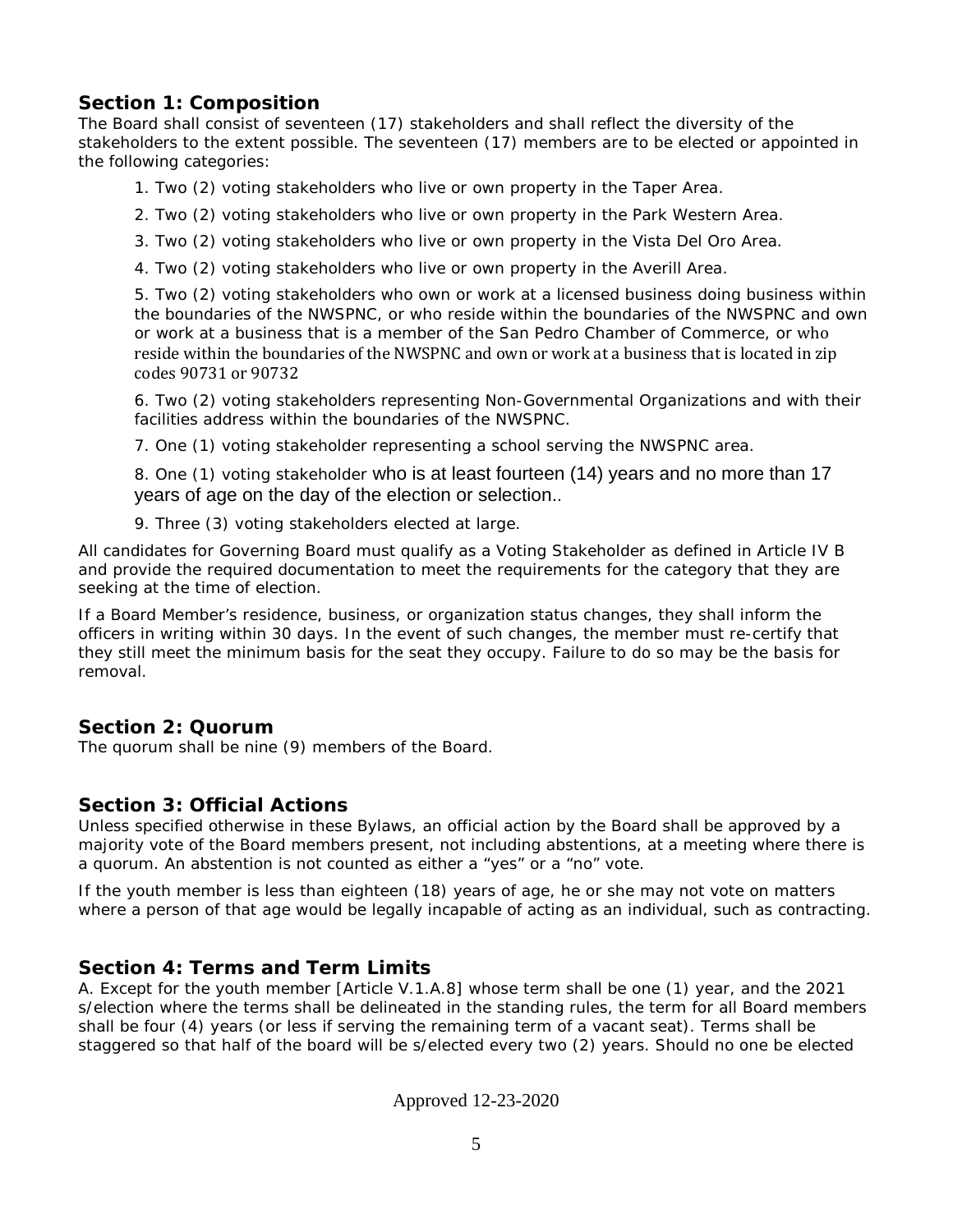### **Section 1: Composition**

The Board shall consist of seventeen (17) stakeholders and shall reflect the diversity of the stakeholders to the extent possible. The seventeen (17) members are to be elected or appointed in the following categories:

- 1. Two (2) voting stakeholders who live or own property in the Taper Area.
- 2. Two (2) voting stakeholders who live or own property in the Park Western Area.
- 3. Two (2) voting stakeholders who live or own property in the Vista Del Oro Area.
- 4. Two (2) voting stakeholders who live or own property in the Averill Area.

5. Two (2) voting stakeholders who own or work at a licensed business doing business within the boundaries of the NWSPNC, or who reside within the boundaries of the NWSPNC and own or work at a business that is a member of the San Pedro Chamber of Commerce, or who reside within the boundaries of the NWSPNC and own or work at a business that is located in zip codes 90731 or 90732

6. Two (2) voting stakeholders representing Non-Governmental Organizations and with their facilities address within the boundaries of the NWSPNC.

7. One (1) voting stakeholder representing a school serving the NWSPNC area.

8. One (1) voting stakeholder who is at least fourteen (14) years and no more than 17 years of age on the day of the election or selection..

9. Three (3) voting stakeholders elected at large.

All candidates for Governing Board must qualify as a Voting Stakeholder as defined in Article IV B and provide the required documentation to meet the requirements for the category that they are seeking at the time of election.

If a Board Member's residence, business, or organization status changes, they shall inform the officers in writing within 30 days. In the event of such changes, the member must re-certify that they still meet the minimum basis for the seat they occupy. Failure to do so may be the basis for removal.

### **Section 2: Quorum**

The quorum shall be nine (9) members of the Board.

### **Section 3: Official Actions**

Unless specified otherwise in these Bylaws, an official action by the Board shall be approved by a majority vote of the Board members present, not including abstentions, at a meeting where there is a quorum. An abstention is not counted as either a "yes" or a "no" vote.

If the youth member is less than eighteen (18) years of age, he or she may not vote on matters where a person of that age would be legally incapable of acting as an individual, such as contracting.

### **Section 4: Terms and Term Limits**

A. Except for the youth member [Article V.1.A.8] whose term shall be one (1) year, and the 2021 s/election where the terms shall be delineated in the standing rules, the term for all Board members shall be four (4) years (or less if serving the remaining term of a vacant seat). Terms shall be staggered so that half of the board will be s/elected every two (2) years. Should no one be elected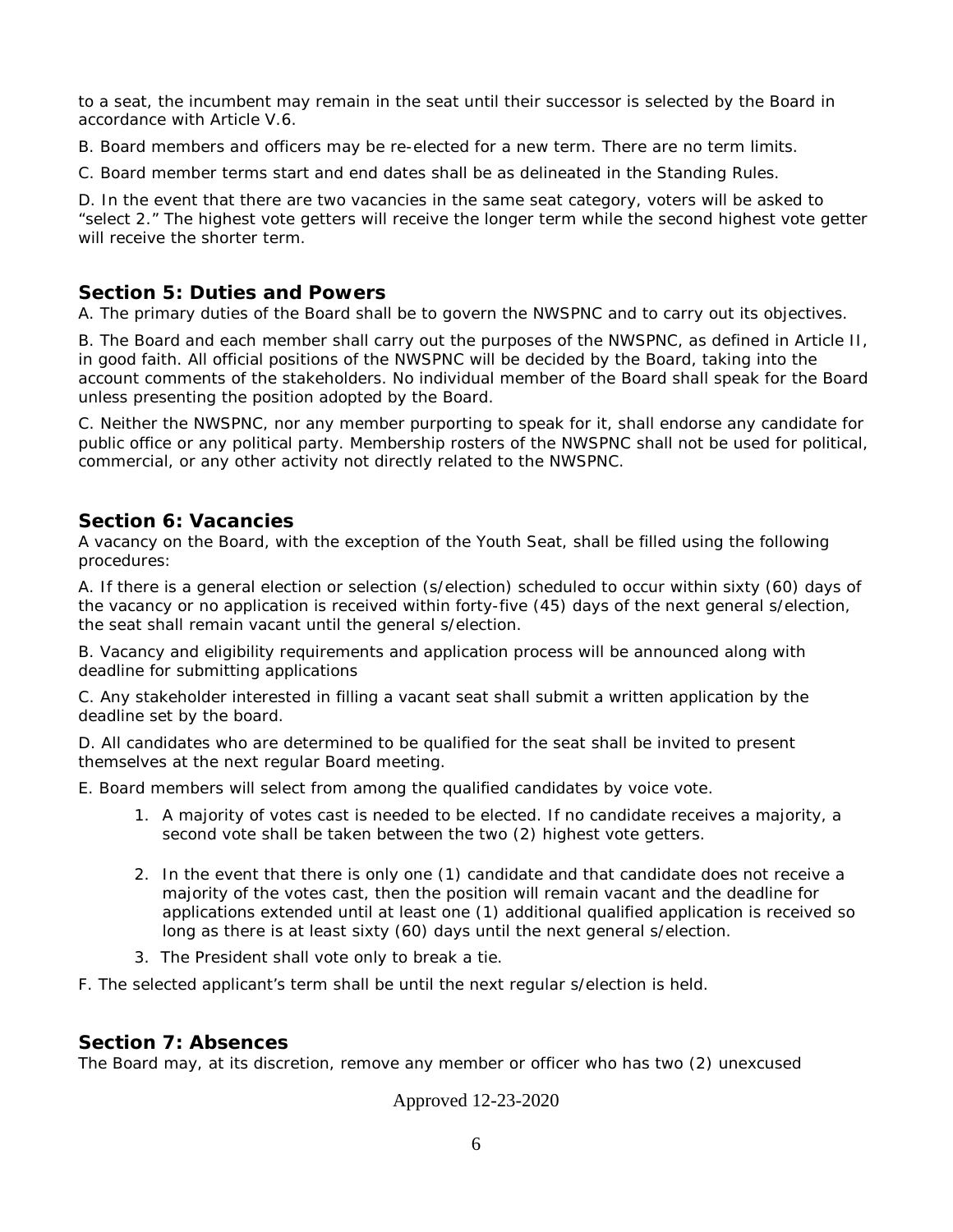to a seat, the incumbent may remain in the seat until their successor is selected by the Board in accordance with Article V.6.

B. Board members and officers may be re-elected for a new term. There are no term limits.

C. Board member terms start and end dates shall be as delineated in the Standing Rules.

D. In the event that there are two vacancies in the same seat category, voters will be asked to "select 2." The highest vote getters will receive the longer term while the second highest vote getter will receive the shorter term.

#### **Section 5: Duties and Powers**

A. The primary duties of the Board shall be to govern the NWSPNC and to carry out its objectives.

B. The Board and each member shall carry out the purposes of the NWSPNC, as defined in Article II, in good faith. All official positions of the NWSPNC will be decided by the Board, taking into the account comments of the stakeholders. No individual member of the Board shall speak for the Board unless presenting the position adopted by the Board.

C. Neither the NWSPNC, nor any member purporting to speak for it, shall endorse any candidate for public office or any political party. Membership rosters of the NWSPNC shall not be used for political, commercial, or any other activity not directly related to the NWSPNC.

#### **Section 6: Vacancies**

A vacancy on the Board, with the exception of the Youth Seat, shall be filled using the following procedures:

A. If there is a general election or selection (s/election) scheduled to occur within sixty (60) days of the vacancy or no application is received within forty-five (45) days of the next general s/election, the seat shall remain vacant until the general s/election.

B. Vacancy and eligibility requirements and application process will be announced along with deadline for submitting applications

C. Any stakeholder interested in filling a vacant seat shall submit a written application by the deadline set by the board.

D. All candidates who are determined to be qualified for the seat shall be invited to present themselves at the next regular Board meeting.

E. Board members will select from among the qualified candidates by voice vote.

- 1. A majority of votes cast is needed to be elected. If no candidate receives a majority, a second vote shall be taken between the two (2) highest vote getters.
- 2. In the event that there is only one (1) candidate and that candidate does not receive a majority of the votes cast, then the position will remain vacant and the deadline for applications extended until at least one (1) additional qualified application is received so long as there is at least sixty (60) days until the next general s/election.
- 3. The President shall vote only to break a tie.

F. The selected applicant's term shall be until the next regular s/election is held.

#### **Section 7: Absences**

The Board may, at its discretion, remove any member or officer who has two (2) unexcused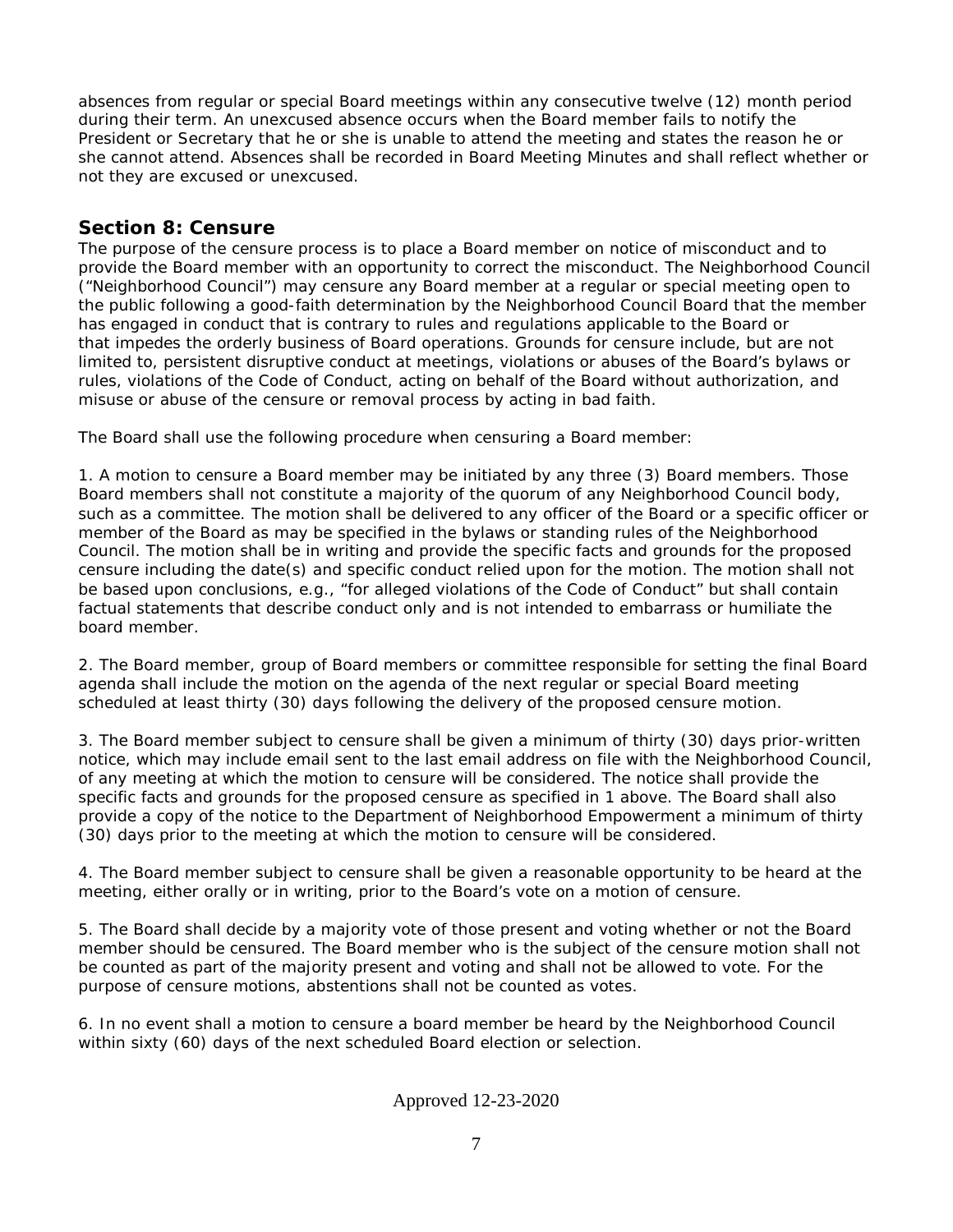absences from regular or special Board meetings within any consecutive twelve (12) month period during their term. An unexcused absence occurs when the Board member fails to notify the President or Secretary that he or she is unable to attend the meeting and states the reason he or she cannot attend. Absences shall be recorded in Board Meeting Minutes and shall reflect whether or not they are excused or unexcused.

# **Section 8: Censure**

The purpose of the censure process is to place a Board member on notice of misconduct and to provide the Board member with an opportunity to correct the misconduct. The Neighborhood Council ("Neighborhood Council") may censure any Board member at a regular or special meeting open to the public following a good-faith determination by the Neighborhood Council Board that the member has engaged in conduct that is contrary to rules and regulations applicable to the Board or that impedes the orderly business of Board operations. Grounds for censure include, but are not limited to, persistent disruptive conduct at meetings, violations or abuses of the Board's bylaws or rules, violations of the Code of Conduct, acting on behalf of the Board without authorization, and misuse or abuse of the censure or removal process by acting in bad faith.

The Board shall use the following procedure when censuring a Board member:

1. A motion to censure a Board member may be initiated by any three (3) Board members. Those Board members shall not constitute a majority of the quorum of any Neighborhood Council body, such as a committee. The motion shall be delivered to any officer of the Board or a specific officer or member of the Board as may be specified in the bylaws or standing rules of the Neighborhood Council. The motion shall be in writing and provide the specific facts and grounds for the proposed censure including the date(s) and specific conduct relied upon for the motion. The motion shall not be based upon conclusions, e.g., "for alleged violations of the Code of Conduct" but shall contain factual statements that describe conduct only and is not intended to embarrass or humiliate the board member.

2. The Board member, group of Board members or committee responsible for setting the final Board agenda shall include the motion on the agenda of the next regular or special Board meeting scheduled at least thirty (30) days following the delivery of the proposed censure motion.

3. The Board member subject to censure shall be given a minimum of thirty (30) days prior-written notice, which may include email sent to the last email address on file with the Neighborhood Council, of any meeting at which the motion to censure will be considered. The notice shall provide the specific facts and grounds for the proposed censure as specified in 1 above. The Board shall also provide a copy of the notice to the Department of Neighborhood Empowerment a minimum of thirty (30) days prior to the meeting at which the motion to censure will be considered.

4. The Board member subject to censure shall be given a reasonable opportunity to be heard at the meeting, either orally or in writing, prior to the Board's vote on a motion of censure.

5. The Board shall decide by a majority vote of those present and voting whether or not the Board member should be censured. The Board member who is the subject of the censure motion shall not be counted as part of the majority present and voting and shall not be allowed to vote. For the purpose of censure motions, abstentions shall not be counted as votes.

6. In no event shall a motion to censure a board member be heard by the Neighborhood Council within sixty (60) days of the next scheduled Board election or selection.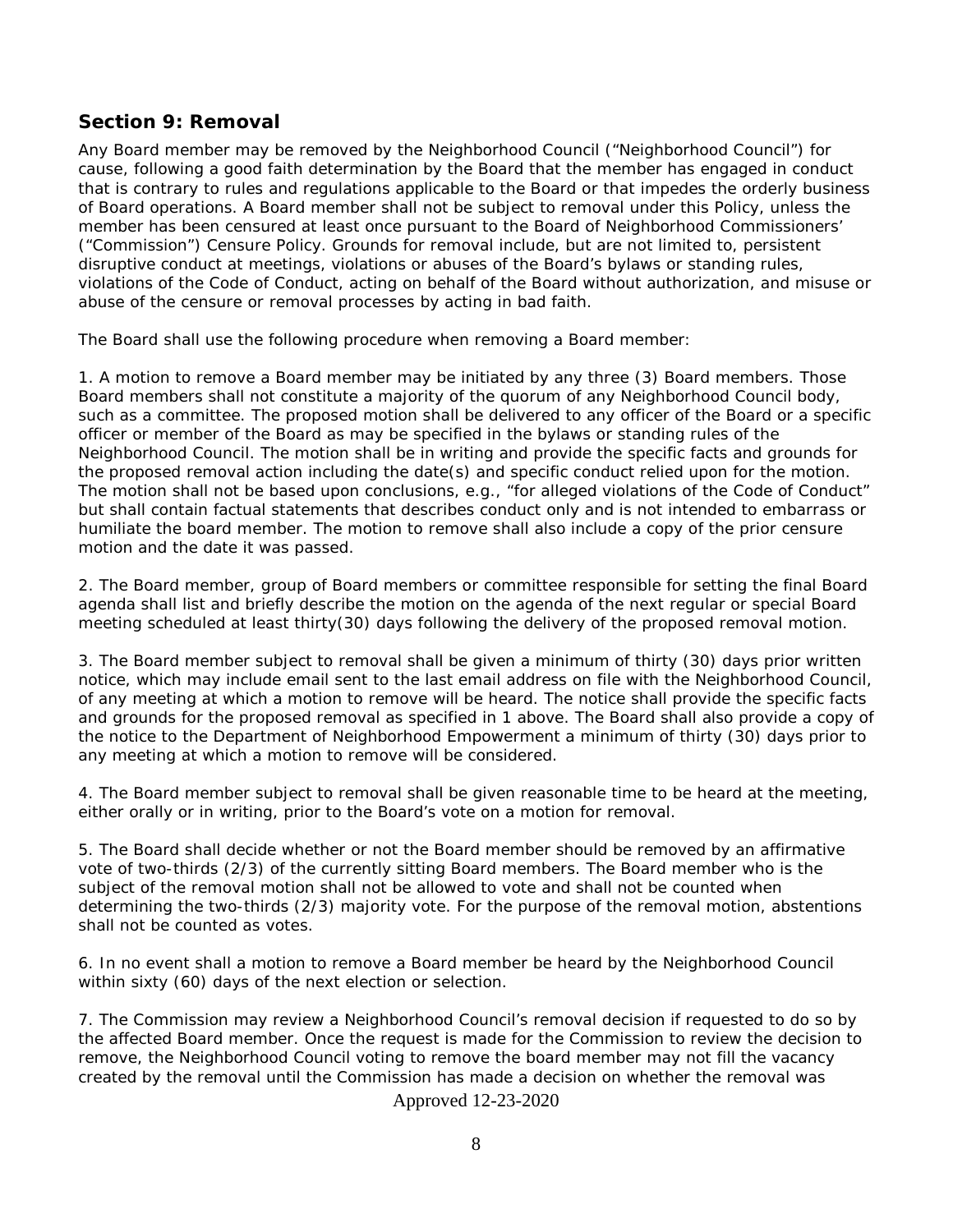### **Section 9: Removal**

Any Board member may be removed by the Neighborhood Council ("Neighborhood Council") for cause, following a good faith determination by the Board that the member has engaged in conduct that is contrary to rules and regulations applicable to the Board or that impedes the orderly business of Board operations. A Board member shall not be subject to removal under this Policy, unless the member has been censured at least once pursuant to the Board of Neighborhood Commissioners' ("Commission") Censure Policy. Grounds for removal include, but are not limited to, persistent disruptive conduct at meetings, violations or abuses of the Board's bylaws or standing rules, violations of the Code of Conduct, acting on behalf of the Board without authorization, and misuse or abuse of the censure or removal processes by acting in bad faith.

The Board shall use the following procedure when removing a Board member:

1. A motion to remove a Board member may be initiated by any three (3) Board members. Those Board members shall not constitute a majority of the quorum of any Neighborhood Council body, such as a committee. The proposed motion shall be delivered to any officer of the Board or a specific officer or member of the Board as may be specified in the bylaws or standing rules of the Neighborhood Council. The motion shall be in writing and provide the specific facts and grounds for the proposed removal action including the date(s) and specific conduct relied upon for the motion. The motion shall not be based upon conclusions, e.g., "for alleged violations of the Code of Conduct" but shall contain factual statements that describes conduct only and is not intended to embarrass or humiliate the board member. The motion to remove shall also include a copy of the prior censure motion and the date it was passed.

2. The Board member, group of Board members or committee responsible for setting the final Board agenda shall list and briefly describe the motion on the agenda of the next regular or special Board meeting scheduled at least thirty(30) days following the delivery of the proposed removal motion.

3. The Board member subject to removal shall be given a minimum of thirty (30) days prior written notice, which may include email sent to the last email address on file with the Neighborhood Council, of any meeting at which a motion to remove will be heard. The notice shall provide the specific facts and grounds for the proposed removal as specified in 1 above. The Board shall also provide a copy of the notice to the Department of Neighborhood Empowerment a minimum of thirty (30) days prior to any meeting at which a motion to remove will be considered.

4. The Board member subject to removal shall be given reasonable time to be heard at the meeting, either orally or in writing, prior to the Board's vote on a motion for removal.

5. The Board shall decide whether or not the Board member should be removed by an affirmative vote of two-thirds (2/3) of the currently sitting Board members. The Board member who is the subject of the removal motion shall not be allowed to vote and shall not be counted when determining the two-thirds (2/3) majority vote. For the purpose of the removal motion, abstentions shall not be counted as votes.

6. In no event shall a motion to remove a Board member be heard by the Neighborhood Council within sixty (60) days of the next election or selection.

7. The Commission may review a Neighborhood Council's removal decision if requested to do so by the affected Board member. Once the request is made for the Commission to review the decision to remove, the Neighborhood Council voting to remove the board member may not fill the vacancy created by the removal until the Commission has made a decision on whether the removal was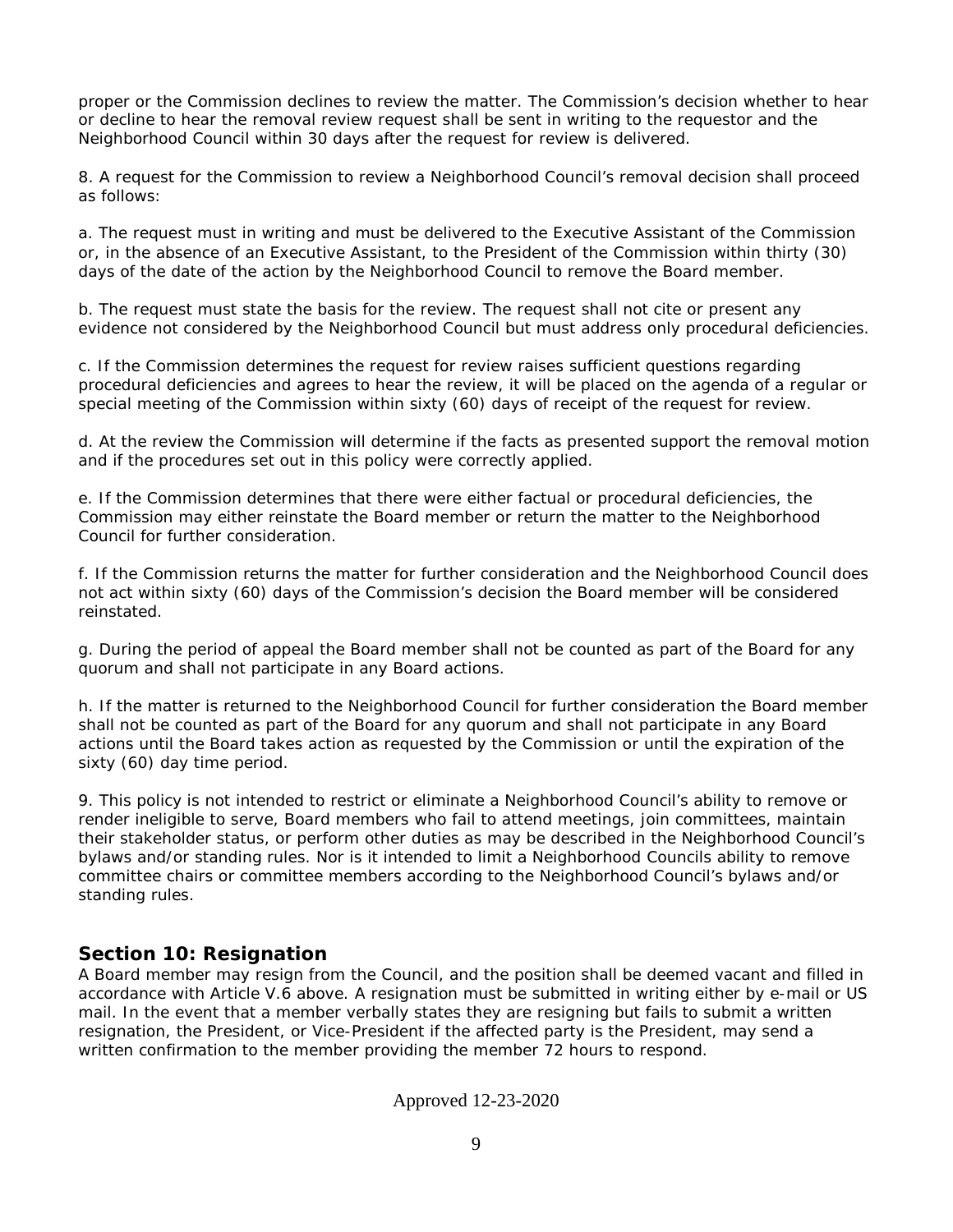proper or the Commission declines to review the matter. The Commission's decision whether to hear or decline to hear the removal review request shall be sent in writing to the requestor and the Neighborhood Council within 30 days after the request for review is delivered.

8. A request for the Commission to review a Neighborhood Council's removal decision shall proceed as follows:

a. The request must in writing and must be delivered to the Executive Assistant of the Commission or, in the absence of an Executive Assistant, to the President of the Commission within thirty (30) days of the date of the action by the Neighborhood Council to remove the Board member.

b. The request must state the basis for the review. The request shall not cite or present any evidence not considered by the Neighborhood Council but must address only procedural deficiencies.

c. If the Commission determines the request for review raises sufficient questions regarding procedural deficiencies and agrees to hear the review, it will be placed on the agenda of a regular or special meeting of the Commission within sixty (60) days of receipt of the request for review.

d. At the review the Commission will determine if the facts as presented support the removal motion and if the procedures set out in this policy were correctly applied.

e. If the Commission determines that there were either factual or procedural deficiencies, the Commission may either reinstate the Board member or return the matter to the Neighborhood Council for further consideration.

f. If the Commission returns the matter for further consideration and the Neighborhood Council does not act within sixty (60) days of the Commission's decision the Board member will be considered reinstated.

g. During the period of appeal the Board member shall not be counted as part of the Board for any quorum and shall not participate in any Board actions.

h. If the matter is returned to the Neighborhood Council for further consideration the Board member shall not be counted as part of the Board for any quorum and shall not participate in any Board actions until the Board takes action as requested by the Commission or until the expiration of the sixty (60) day time period.

9. This policy is not intended to restrict or eliminate a Neighborhood Council's ability to remove or render ineligible to serve, Board members who fail to attend meetings, join committees, maintain their stakeholder status, or perform other duties as may be described in the Neighborhood Council's bylaws and/or standing rules. Nor is it intended to limit a Neighborhood Councils ability to remove committee chairs or committee members according to the Neighborhood Council's bylaws and/or standing rules.

### **Section 10: Resignation**

A Board member may resign from the Council, and the position shall be deemed vacant and filled in accordance with Article V.6 above. A resignation must be submitted in writing either by e-mail or US mail. In the event that a member verbally states they are resigning but fails to submit a written resignation, the President, or Vice-President if the affected party is the President, may send a written confirmation to the member providing the member 72 hours to respond.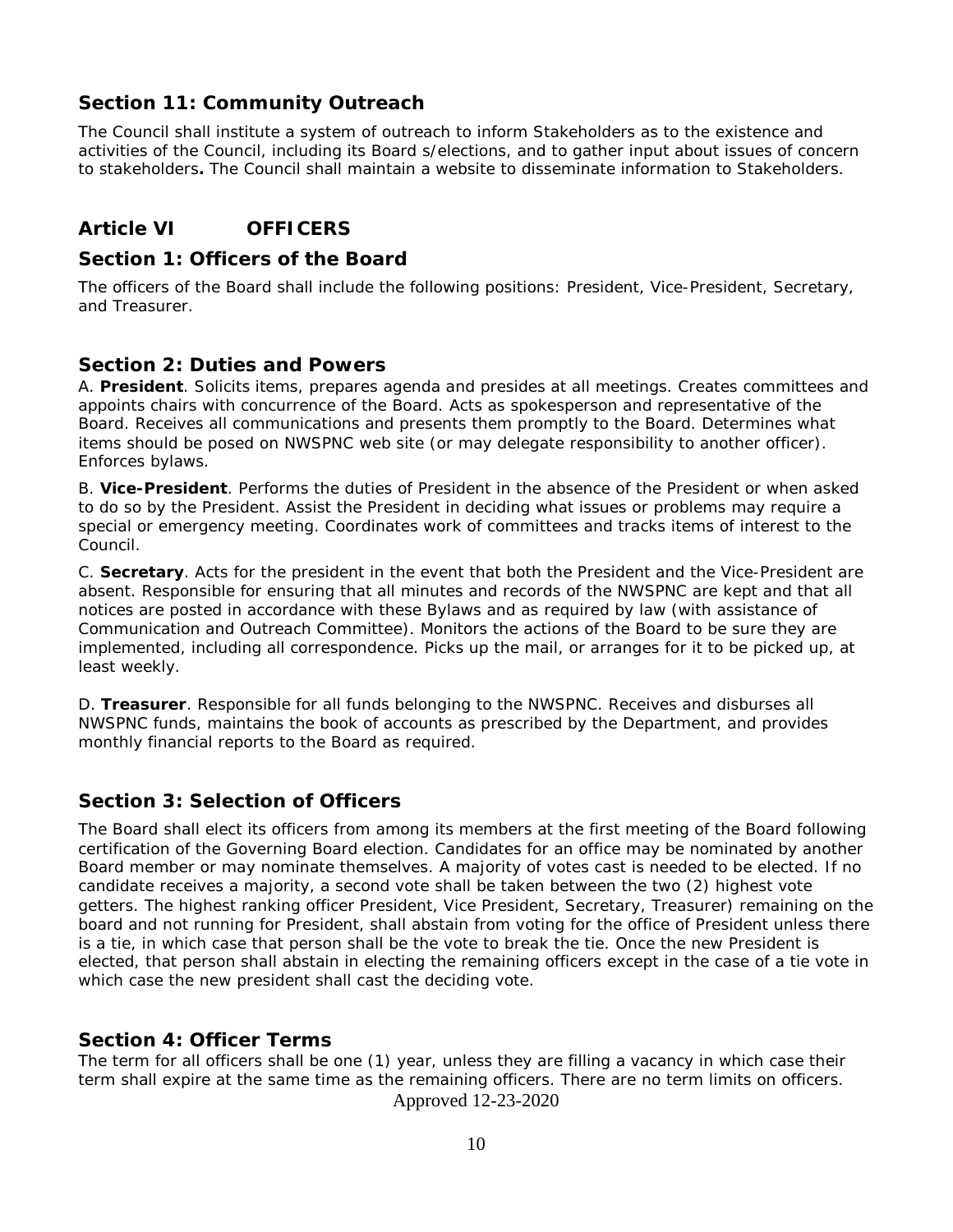# **Section 11: Community Outreach**

The Council shall institute a system of outreach to inform Stakeholders as to the existence and activities of the Council, including its Board s/elections, and to gather input about issues of concern to stakeholders**.** The Council shall maintain a website to disseminate information to Stakeholders.

# **Article VI OFFICERS**

### **Section 1: Officers of the Board**

The officers of the Board shall include the following positions: President, Vice-President, Secretary, and Treasurer.

## **Section 2: Duties and Powers**

A. **President**. Solicits items, prepares agenda and presides at all meetings. Creates committees and appoints chairs with concurrence of the Board. Acts as spokesperson and representative of the Board. Receives all communications and presents them promptly to the Board. Determines what items should be posed on NWSPNC web site (or may delegate responsibility to another officer). Enforces bylaws.

B. **Vice-President**. Performs the duties of President in the absence of the President or when asked to do so by the President. Assist the President in deciding what issues or problems may require a special or emergency meeting. Coordinates work of committees and tracks items of interest to the Council.

C. **Secretary**. Acts for the president in the event that both the President and the Vice-President are absent. Responsible for ensuring that all minutes and records of the NWSPNC are kept and that all notices are posted in accordance with these Bylaws and as required by law (with assistance of Communication and Outreach Committee). Monitors the actions of the Board to be sure they are implemented, including all correspondence. Picks up the mail, or arranges for it to be picked up, at least weekly.

D. **Treasurer**. Responsible for all funds belonging to the NWSPNC. Receives and disburses all NWSPNC funds, maintains the book of accounts as prescribed by the Department, and provides monthly financial reports to the Board as required.

# **Section 3: Selection of Officers**

The Board shall elect its officers from among its members at the first meeting of the Board following certification of the Governing Board election. Candidates for an office may be nominated by another Board member or may nominate themselves. A majority of votes cast is needed to be elected. If no candidate receives a majority, a second vote shall be taken between the two (2) highest vote getters. The highest ranking officer President, Vice President, Secretary, Treasurer) remaining on the board and not running for President, shall abstain from voting for the office of President unless there is a tie, in which case that person shall be the vote to break the tie. Once the new President is elected, that person shall abstain in electing the remaining officers except in the case of a tie vote in which case the new president shall cast the deciding vote.

# **Section 4: Officer Terms**

The term for all officers shall be one (1) year, unless they are filling a vacancy in which case their term shall expire at the same time as the remaining officers. There are no term limits on officers.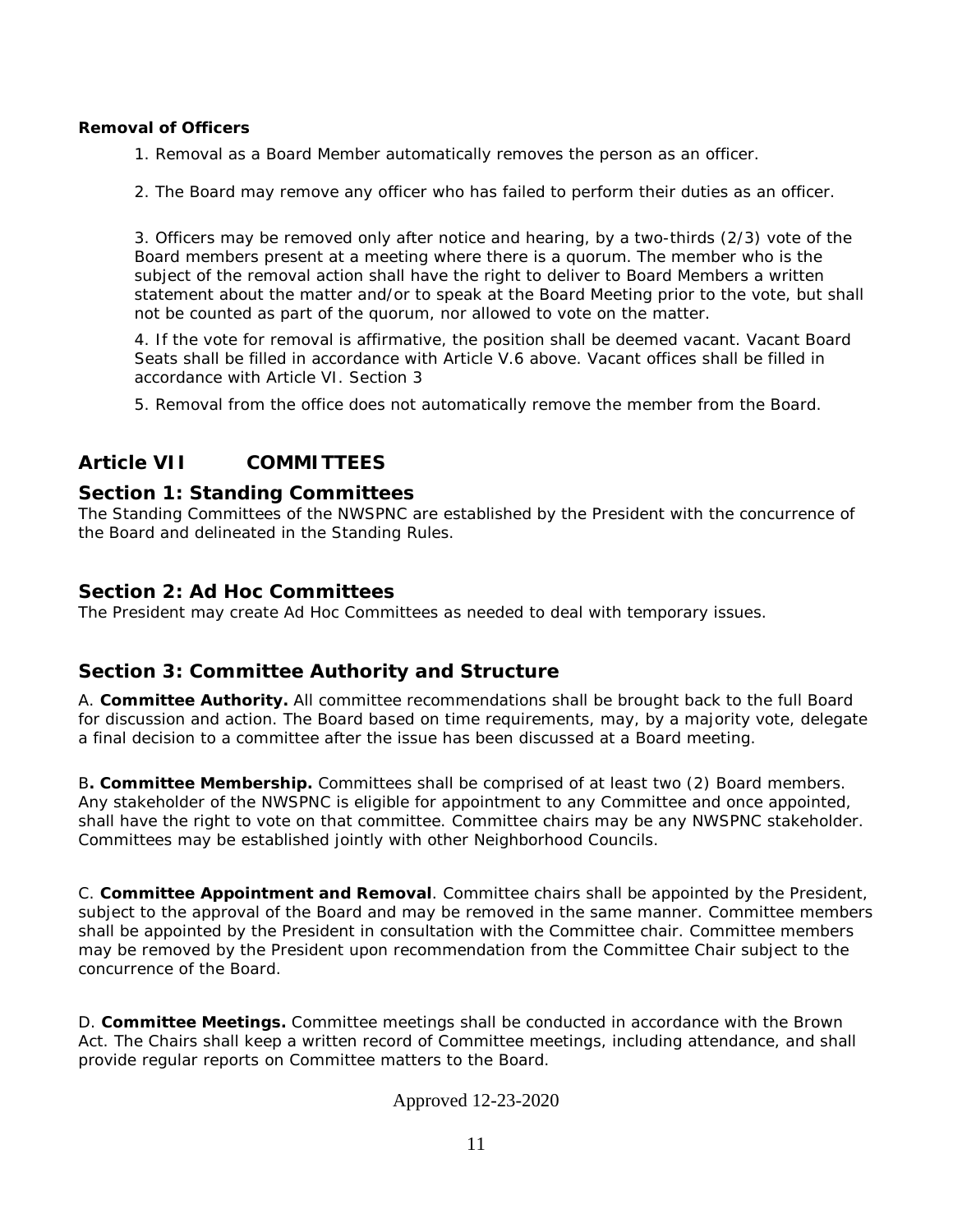#### **Removal of Officers**

1. Removal as a Board Member automatically removes the person as an officer.

2. The Board may remove any officer who has failed to perform their duties as an officer.

3. Officers may be removed only after notice and hearing, by a two-thirds (2/3) vote of the Board members present at a meeting where there is a quorum. The member who is the subject of the removal action shall have the right to deliver to Board Members a written statement about the matter and/or to speak at the Board Meeting prior to the vote, but shall not be counted as part of the quorum, nor allowed to vote on the matter.

4. If the vote for removal is affirmative, the position shall be deemed vacant. Vacant Board Seats shall be filled in accordance with Article V.6 above. Vacant offices shall be filled in accordance with Article VI. Section 3

5. Removal from the office does not automatically remove the member from the Board.

# **Article VII COMMITTEES**

### **Section 1: Standing Committees**

The Standing Committees of the NWSPNC are established by the President with the concurrence of the Board and delineated in the Standing Rules.

### **Section 2: Ad Hoc Committees**

The President may create Ad Hoc Committees as needed to deal with temporary issues.

# **Section 3: Committee Authority and Structure**

A. **Committee Authority.** All committee recommendations shall be brought back to the full Board for discussion and action. The Board based on time requirements, may, by a majority vote, delegate a final decision to a committee after the issue has been discussed at a Board meeting.

B**. Committee Membership.** Committees shall be comprised of at least two (2) Board members. Any stakeholder of the NWSPNC is eligible for appointment to any Committee and once appointed, shall have the right to vote on that committee. Committee chairs may be any NWSPNC stakeholder. Committees may be established jointly with other Neighborhood Councils.

C. **Committee Appointment and Removal**. Committee chairs shall be appointed by the President, subject to the approval of the Board and may be removed in the same manner. Committee members shall be appointed by the President in consultation with the Committee chair. Committee members may be removed by the President upon recommendation from the Committee Chair subject to the concurrence of the Board.

D. **Committee Meetings.** Committee meetings shall be conducted in accordance with the Brown Act. The Chairs shall keep a written record of Committee meetings, including attendance, and shall provide regular reports on Committee matters to the Board.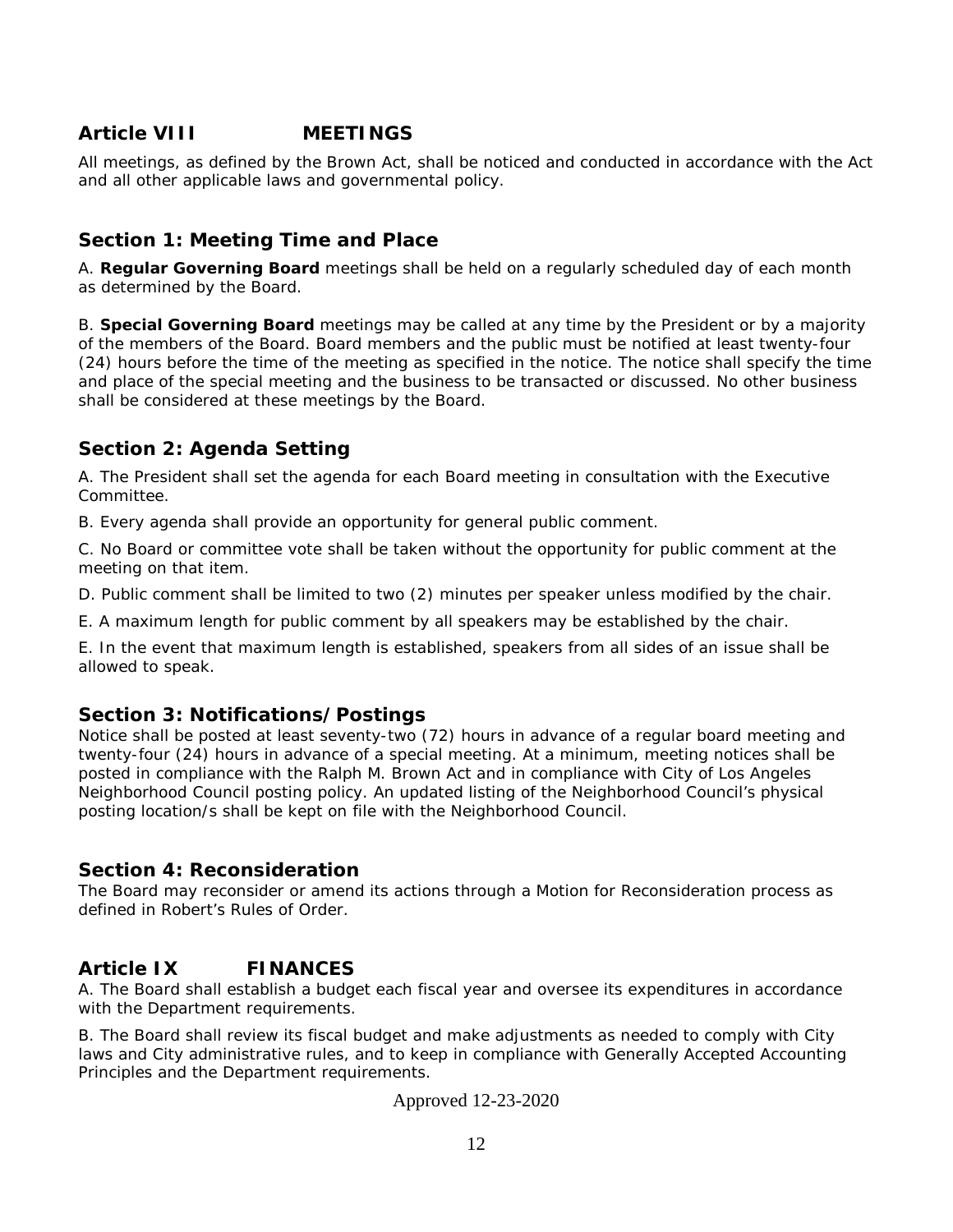# **Article VIII MEETINGS**

All meetings, as defined by the Brown Act, shall be noticed and conducted in accordance with the Act and all other applicable laws and governmental policy.

# **Section 1: Meeting Time and Place**

A. **Regular Governing Board** meetings shall be held on a regularly scheduled day of each month as determined by the Board.

B. **Special Governing Board** meetings may be called at any time by the President or by a majority of the members of the Board. Board members and the public must be notified at least twenty-four (24) hours before the time of the meeting as specified in the notice. The notice shall specify the time and place of the special meeting and the business to be transacted or discussed. No other business shall be considered at these meetings by the Board.

# **Section 2: Agenda Setting**

A. The President shall set the agenda for each Board meeting in consultation with the Executive Committee.

B. Every agenda shall provide an opportunity for general public comment.

C. No Board or committee vote shall be taken without the opportunity for public comment at the meeting on that item.

D. Public comment shall be limited to two (2) minutes per speaker unless modified by the chair.

E. A maximum length for public comment by all speakers may be established by the chair.

E. In the event that maximum length is established, speakers from all sides of an issue shall be allowed to speak.

# **Section 3: Notifications/Postings**

Notice shall be posted at least seventy-two (72) hours in advance of a regular board meeting and twenty-four (24) hours in advance of a special meeting. At a minimum, meeting notices shall be posted in compliance with the Ralph M. Brown Act and in compliance with City of Los Angeles Neighborhood Council posting policy. An updated listing of the Neighborhood Council's physical posting location/s shall be kept on file with the Neighborhood Council.

# **Section 4: Reconsideration**

The Board may reconsider or amend its actions through a Motion for Reconsideration process as defined in Robert's Rules of Order.

# **Article IX FINANCES**

A. The Board shall establish a budget each fiscal year and oversee its expenditures in accordance with the Department requirements.

B. The Board shall review its fiscal budget and make adjustments as needed to comply with City laws and City administrative rules, and to keep in compliance with Generally Accepted Accounting Principles and the Department requirements.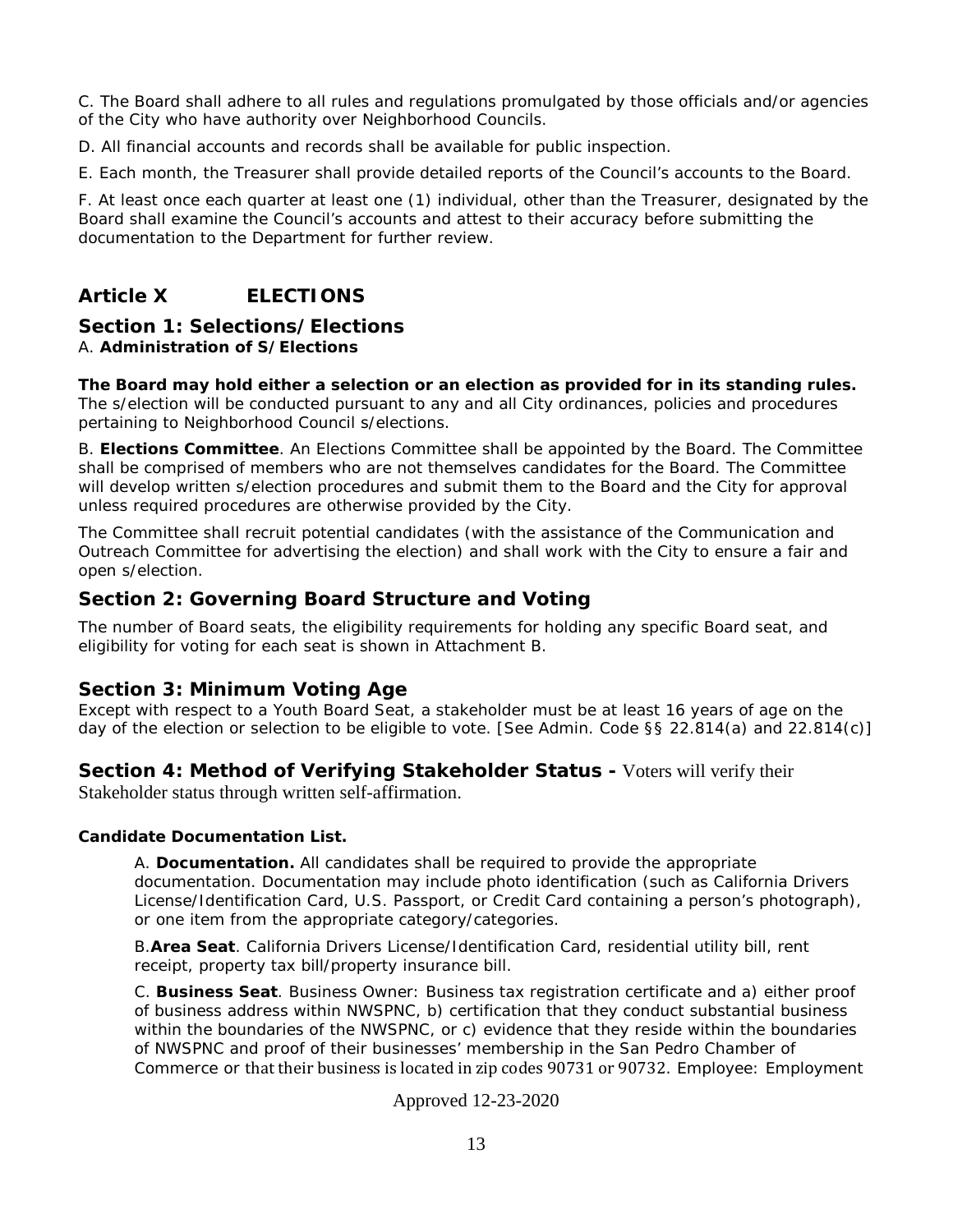C. The Board shall adhere to all rules and regulations promulgated by those officials and/or agencies of the City who have authority over Neighborhood Councils.

- D. All financial accounts and records shall be available for public inspection.
- E. Each month, the Treasurer shall provide detailed reports of the Council's accounts to the Board.

F. At least once each quarter at least one (1) individual, other than the Treasurer, designated by the Board shall examine the Council's accounts and attest to their accuracy before submitting the documentation to the Department for further review.

# **Article X ELECTIONS**

### **Section 1: Selections/Elections**

#### A. **Administration of S/Elections**

**The Board may hold either a selection or an election as provided for in its standing rules.** The s/election will be conducted pursuant to any and all City ordinances, policies and procedures pertaining to Neighborhood Council s/elections.

B. **Elections Committee**. An Elections Committee shall be appointed by the Board. The Committee shall be comprised of members who are not themselves candidates for the Board. The Committee will develop written s/election procedures and submit them to the Board and the City for approval unless required procedures are otherwise provided by the City.

The Committee shall recruit potential candidates (with the assistance of the Communication and Outreach Committee for advertising the election) and shall work with the City to ensure a fair and open s/election.

### **Section 2: Governing Board Structure and Voting**

The number of Board seats, the eligibility requirements for holding any specific Board seat, and eligibility for voting for each seat is shown in Attachment B.

### **Section 3: Minimum Voting Age**

Except with respect to a Youth Board Seat, a stakeholder must be at least 16 years of age on the day of the election or selection to be eligible to vote. [See Admin. Code §§ 22.814(a) and 22.814(c)]

#### **Section 4: Method of Verifying Stakeholder Status -** Voters will verify their

Stakeholder status through written self-affirmation.

#### **Candidate Documentation List.**

A. **Documentation.** All candidates shall be required to provide the appropriate documentation. Documentation may include photo identification (such as California Drivers License/Identification Card, U.S. Passport, or Credit Card containing a person's photograph), or one item from the appropriate category/categories.

B.**Area Seat**. California Drivers License/Identification Card, residential utility bill, rent receipt, property tax bill/property insurance bill.

C. **Business Seat**. Business Owner: Business tax registration certificate and a) either proof of business address within NWSPNC, b) certification that they conduct substantial business within the boundaries of the NWSPNC, or c) evidence that they reside within the boundaries of NWSPNC and proof of their businesses' membership in the San Pedro Chamber of Commerce or that their business is located in zip codes 90731 or 90732. Employee: Employment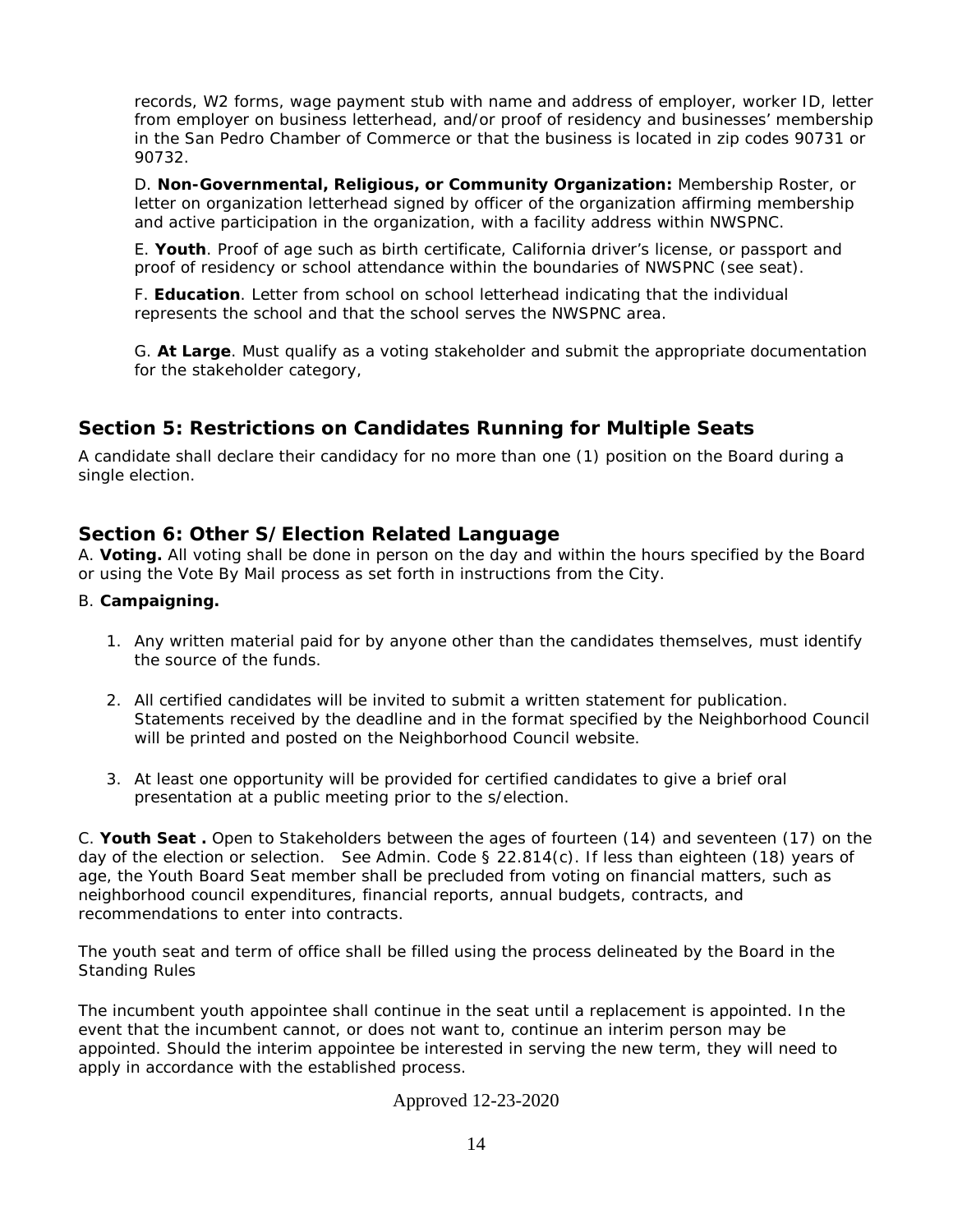records, W2 forms, wage payment stub with name and address of employer, worker ID, letter from employer on business letterhead, and/or proof of residency and businesses' membership in the San Pedro Chamber of Commerce or that the business is located in zip codes 90731 or 90732.

D. **Non-Governmental, Religious, or Community Organization:** Membership Roster, or letter on organization letterhead signed by officer of the organization affirming membership and active participation in the organization, with a facility address within NWSPNC.

E. **Youth**. Proof of age such as birth certificate, California driver's license, or passport and proof of residency or school attendance within the boundaries of NWSPNC (see seat).

F. **Education**. Letter from school on school letterhead indicating that the individual represents the school and that the school serves the NWSPNC area.

G. **At Large**. Must qualify as a voting stakeholder and submit the appropriate documentation for the stakeholder category,

## **Section 5: Restrictions on Candidates Running for Multiple Seats**

A candidate shall declare their candidacy for no more than one (1) position on the Board during a single election.

### **Section 6: Other S/Election Related Language**

A. **Voting.** All voting shall be done in person on the day and within the hours specified by the Board or using the Vote By Mail process as set forth in instructions from the City.

#### B. **Campaigning.**

- 1. Any written material paid for by anyone other than the candidates themselves, must identify the source of the funds.
- 2. All certified candidates will be invited to submit a written statement for publication. Statements received by the deadline and in the format specified by the Neighborhood Council will be printed and posted on the Neighborhood Council website.
- 3. At least one opportunity will be provided for certified candidates to give a brief oral presentation at a public meeting prior to the s/election.

C. **Youth Seat .** Open to Stakeholders between the ages of fourteen (14) and seventeen (17) on the day of the election or selection. See Admin. Code § 22.814(c). If less than eighteen (18) years of age, the Youth Board Seat member shall be precluded from voting on financial matters, such as neighborhood council expenditures, financial reports, annual budgets, contracts, and recommendations to enter into contracts.

The youth seat and term of office shall be filled using the process delineated by the Board in the Standing Rules

The incumbent youth appointee shall continue in the seat until a replacement is appointed. In the event that the incumbent cannot, or does not want to, continue an interim person may be appointed. Should the interim appointee be interested in serving the new term, they will need to apply in accordance with the established process.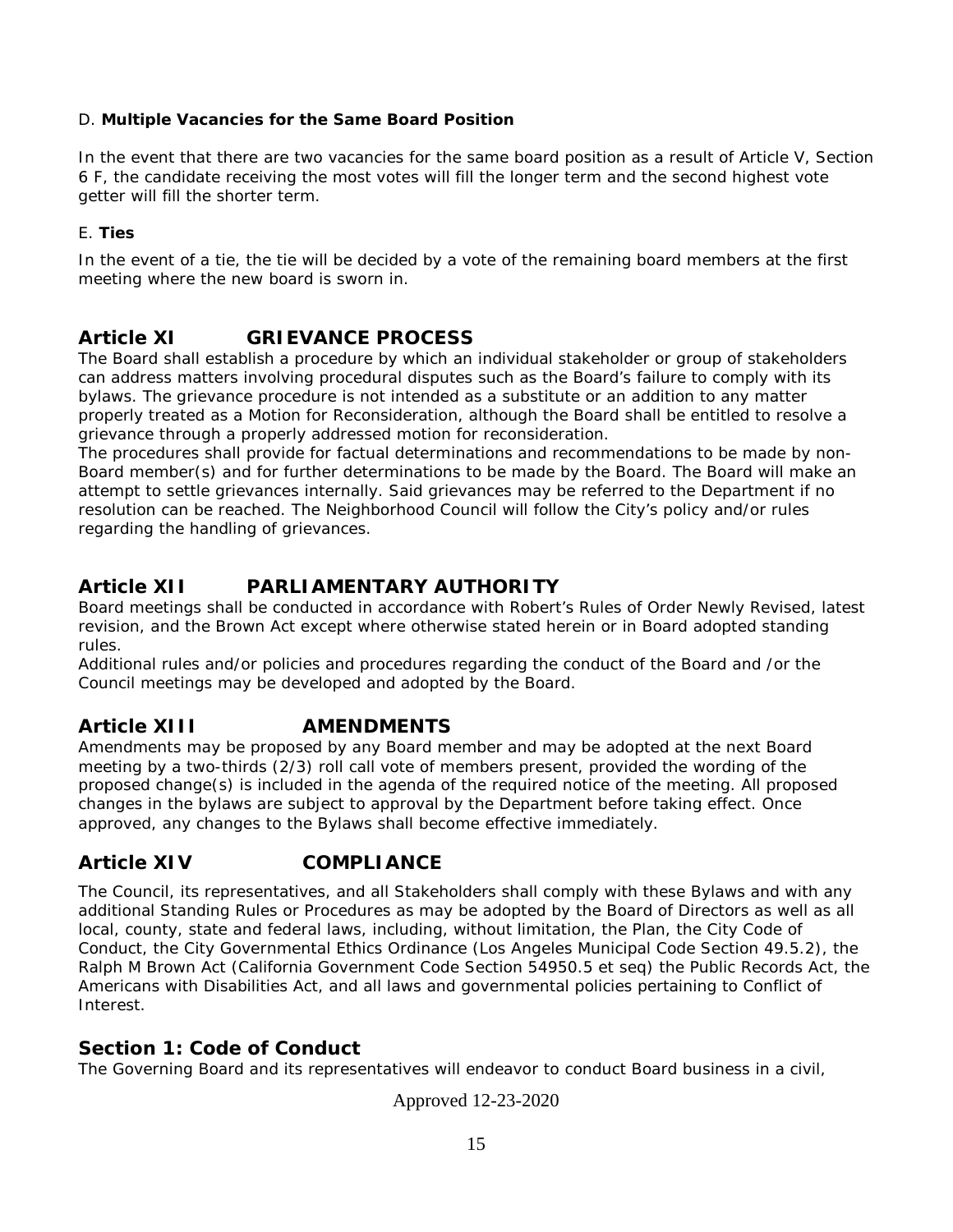### D. **Multiple Vacancies for the Same Board Position**

In the event that there are two vacancies for the same board position as a result of Article V, Section 6 F, the candidate receiving the most votes will fill the longer term and the second highest vote getter will fill the shorter term.

#### E. **Ties**

In the event of a tie, the tie will be decided by a vote of the remaining board members at the first meeting where the new board is sworn in.

# **Article XI GRIEVANCE PROCESS**

The Board shall establish a procedure by which an individual stakeholder or group of stakeholders can address matters involving procedural disputes such as the Board's failure to comply with its bylaws. The grievance procedure is not intended as a substitute or an addition to any matter properly treated as a Motion for Reconsideration, although the Board shall be entitled to resolve a grievance through a properly addressed motion for reconsideration.

The procedures shall provide for factual determinations and recommendations to be made by non-Board member(s) and for further determinations to be made by the Board. The Board will make an attempt to settle grievances internally. Said grievances may be referred to the Department if no resolution can be reached. The Neighborhood Council will follow the City's policy and/or rules regarding the handling of grievances.

# **Article XII PARLIAMENTARY AUTHORITY**

Board meetings shall be conducted in accordance with Robert's Rules of Order Newly Revised, latest revision, and the Brown Act except where otherwise stated herein or in Board adopted standing rules.

Additional rules and/or policies and procedures regarding the conduct of the Board and /or the Council meetings may be developed and adopted by the Board.

# **Article XIII AMENDMENTS**

Amendments may be proposed by any Board member and may be adopted at the next Board meeting by a two-thirds (2/3) roll call vote of members present, provided the wording of the proposed change(s) is included in the agenda of the required notice of the meeting. All proposed changes in the bylaws are subject to approval by the Department before taking effect. Once approved, any changes to the Bylaws shall become effective immediately.

# **Article XIV COMPLIANCE**

The Council, its representatives, and all Stakeholders shall comply with these Bylaws and with any additional Standing Rules or Procedures as may be adopted by the Board of Directors as well as all local, county, state and federal laws, including, without limitation, the Plan, the City Code of Conduct, the City Governmental Ethics Ordinance (Los Angeles Municipal Code Section 49.5.2), the Ralph M Brown Act (California Government Code Section 54950.5 et seq) the Public Records Act, the Americans with Disabilities Act, and all laws and governmental policies pertaining to Conflict of Interest.

# **Section 1: Code of Conduct**

The Governing Board and its representatives will endeavor to conduct Board business in a civil,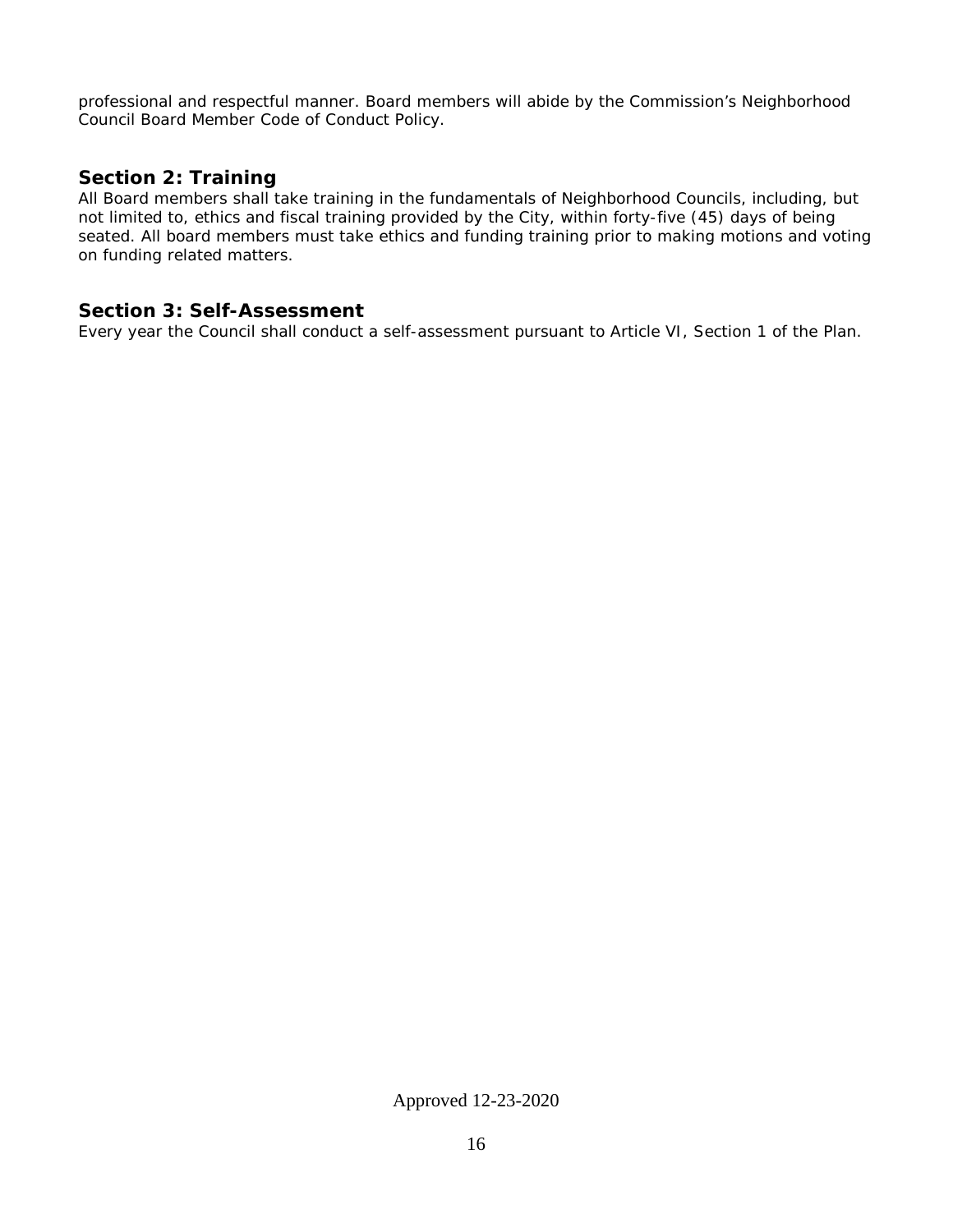professional and respectful manner. Board members will abide by the Commission's Neighborhood Council Board Member Code of Conduct Policy.

## **Section 2: Training**

All Board members shall take training in the fundamentals of Neighborhood Councils, including, but not limited to, ethics and fiscal training provided by the City, within forty-five (45) days of being seated. All board members must take ethics and funding training prior to making motions and voting on funding related matters.

### **Section 3: Self-Assessment**

Every year the Council shall conduct a self-assessment pursuant to Article VI, Section 1 of the Plan.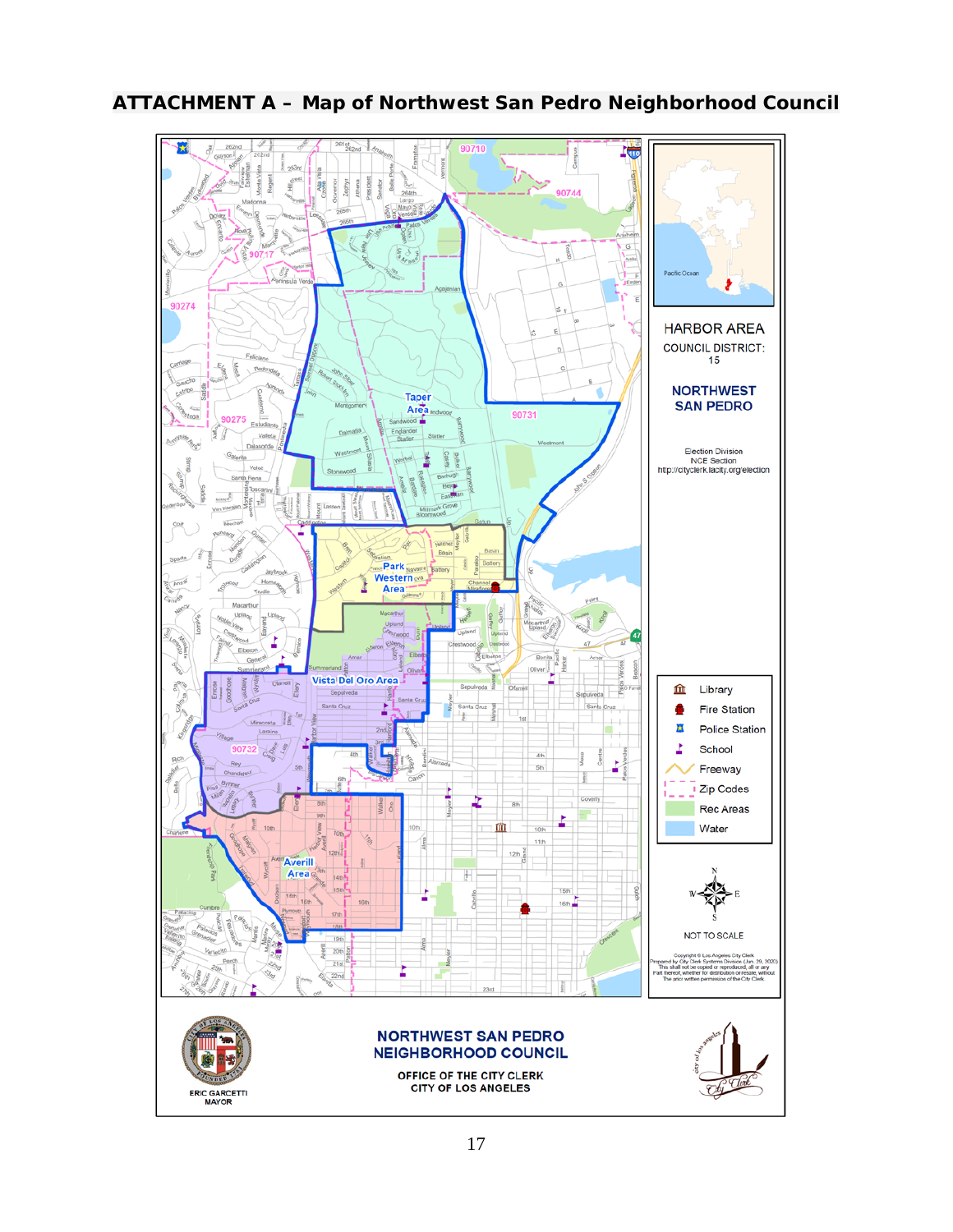

# **ATTACHMENT A – Map of Northwest San Pedro Neighborhood Council**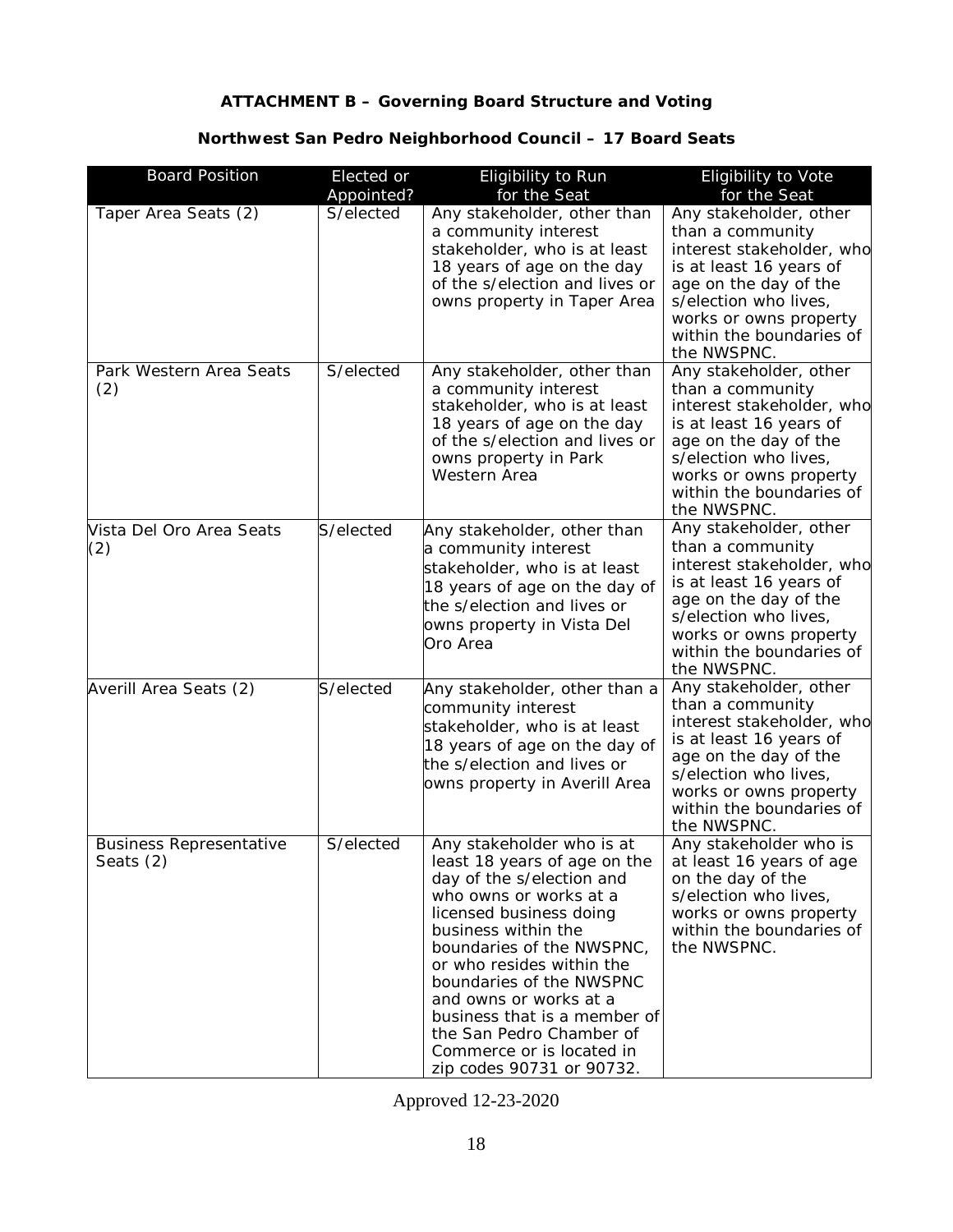## **ATTACHMENT B – Governing Board Structure and Voting**

## **Northwest San Pedro Neighborhood Council – 17 Board Seats**

| <b>Board Position</b>                       | Elected or<br>Appointed? | Eligibility to Run<br>for the Seat                                                                                                                                                                                                                                                                                                                                                                       | Eligibility to Vote<br>for the Seat                                                                                                                                                                                       |
|---------------------------------------------|--------------------------|----------------------------------------------------------------------------------------------------------------------------------------------------------------------------------------------------------------------------------------------------------------------------------------------------------------------------------------------------------------------------------------------------------|---------------------------------------------------------------------------------------------------------------------------------------------------------------------------------------------------------------------------|
| Taper Area Seats (2)                        | S/elected                | Any stakeholder, other than<br>a community interest<br>stakeholder, who is at least<br>18 years of age on the day<br>of the s/election and lives or<br>owns property in Taper Area                                                                                                                                                                                                                       | Any stakeholder, other<br>than a community<br>interest stakeholder, who<br>is at least 16 years of<br>age on the day of the<br>s/election who lives,<br>works or owns property<br>within the boundaries of<br>the NWSPNC. |
| Park Western Area Seats<br>(2)              | S/elected                | Any stakeholder, other than<br>a community interest<br>stakeholder, who is at least<br>18 years of age on the day<br>of the s/election and lives or<br>owns property in Park<br>Western Area                                                                                                                                                                                                             | Any stakeholder, other<br>than a community<br>interest stakeholder, who<br>is at least 16 years of<br>age on the day of the<br>s/election who lives,<br>works or owns property<br>within the boundaries of<br>the NWSPNC. |
| Vista Del Oro Area Seats<br>(2)             | S/elected                | Any stakeholder, other than<br>a community interest<br>stakeholder, who is at least<br>18 years of age on the day of<br>the s/election and lives or<br>owns property in Vista Del<br>Oro Area                                                                                                                                                                                                            | Any stakeholder, other<br>than a community<br>interest stakeholder, who<br>is at least 16 years of<br>age on the day of the<br>s/election who lives,<br>works or owns property<br>within the boundaries of<br>the NWSPNC. |
| Averill Area Seats (2)                      | S/elected                | Any stakeholder, other than a<br>community interest<br>stakeholder, who is at least<br>18 years of age on the day of<br>the s/election and lives or<br>owns property in Averill Area                                                                                                                                                                                                                     | Any stakeholder, other<br>than a community<br>interest stakeholder, who<br>is at least 16 years of<br>age on the day of the<br>s/election who lives,<br>works or owns property<br>within the boundaries of<br>the NWSPNC. |
| <b>Business Representative</b><br>Seats (2) | S/elected                | Any stakeholder who is at<br>least 18 years of age on the<br>day of the s/election and<br>who owns or works at a<br>licensed business doing<br>business within the<br>boundaries of the NWSPNC,<br>or who resides within the<br>boundaries of the NWSPNC<br>and owns or works at a<br>business that is a member of<br>the San Pedro Chamber of<br>Commerce or is located in<br>zip codes 90731 or 90732. | Any stakeholder who is<br>at least 16 years of age<br>on the day of the<br>s/election who lives,<br>works or owns property<br>within the boundaries of<br>the NWSPNC.                                                     |